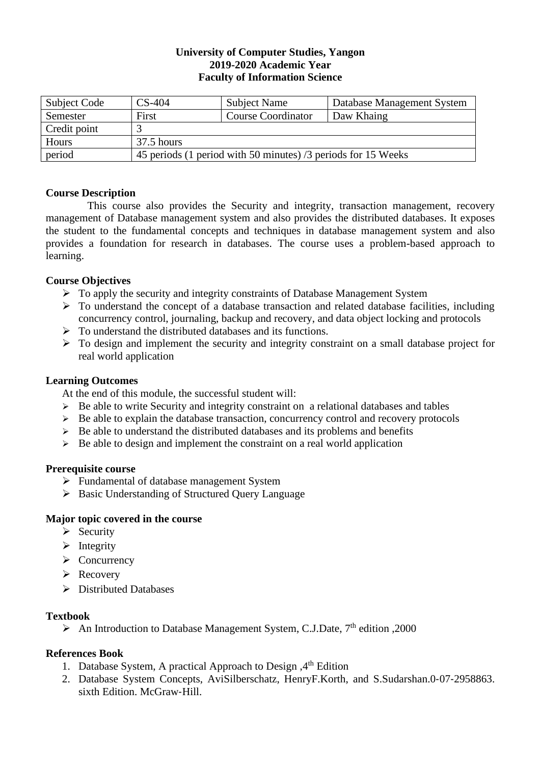## **University of Computer Studies, Yangon 2019-2020 Academic Year Faculty of Information Science**

| Subject Code | $CS-404$                                                      | <b>Subject Name</b>       | Database Management System |  |  |
|--------------|---------------------------------------------------------------|---------------------------|----------------------------|--|--|
| Semester     | First                                                         | <b>Course Coordinator</b> | Daw Khaing                 |  |  |
| Credit point |                                                               |                           |                            |  |  |
| Hours        | $37.5$ hours                                                  |                           |                            |  |  |
| period       | 45 periods (1 period with 50 minutes) /3 periods for 15 Weeks |                           |                            |  |  |

# **Course Description**

This course also provides the Security and integrity, transaction management, recovery management of Database management system and also provides the distributed databases. It exposes the student to the fundamental concepts and techniques in database management system and also provides a foundation for research in databases. The course uses a problem-based approach to learning.

# **Course Objectives**

- ➢ To apply the security and integrity constraints of Database Management System
- $\triangleright$  To understand the concept of a database transaction and related database facilities, including concurrency control, journaling, backup and recovery, and data object locking and protocols
- $\triangleright$  To understand the distributed databases and its functions.
- $\triangleright$  To design and implement the security and integrity constraint on a small database project for real world application

# **Learning Outcomes**

At the end of this module, the successful student will:

- ➢ Be able to write Security and integrity constraint on a relational databases and tables
- ➢ Be able to explain the database transaction, concurrency control and recovery protocols
- $\triangleright$  Be able to understand the distributed databases and its problems and benefits
- $\triangleright$  Be able to design and implement the constraint on a real world application

## **Prerequisite course**

- ➢ Fundamental of database management System
- ➢ Basic Understanding of Structured Query Language

# **Major topic covered in the course**

- ➢ Security
- ➢ Integrity
- ➢ Concurrency
- ➢ Recovery
- ➢ Distributed Databases

# **Textbook**

 $\triangleright$  An Introduction to Database Management System, C.J.Date, 7<sup>th</sup> edition ,2000

# **References Book**

- 1. Database System, A practical Approach to Design, 4<sup>th</sup> Edition
- 2. Database System Concepts, AviSilberschatz, HenryF.Korth, and S.Sudarshan.0‐07‐2958863. sixth Edition. McGraw-Hill.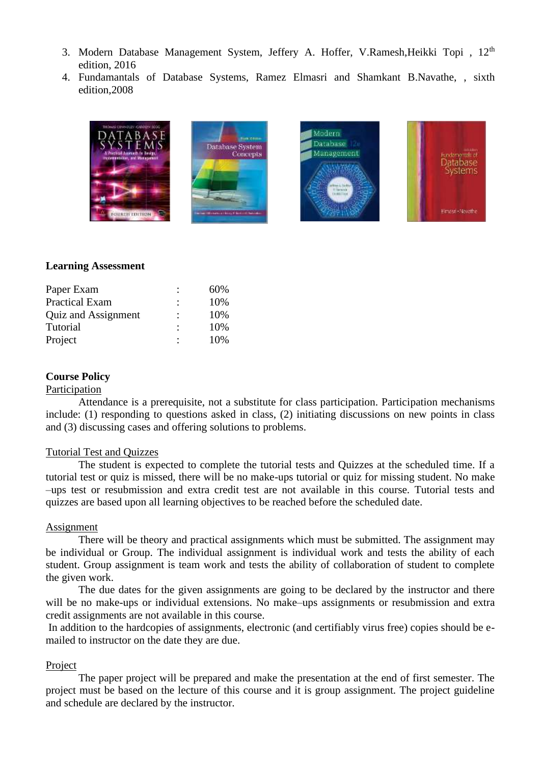- 3. Modern Database Management System, Jeffery A. Hoffer, V.Ramesh, Heikki Topi, 12<sup>th</sup> edition, 2016
- 4. Fundamantals of Database Systems, Ramez Elmasri and Shamkant B.Navathe, , sixth edition,2008



#### **Learning Assessment**

| Paper Exam            | $\ddot{\cdot}$ | 60% |
|-----------------------|----------------|-----|
| <b>Practical Exam</b> | $\ddot{\cdot}$ | 10% |
| Quiz and Assignment   | ٠              | 10% |
| Tutorial              | ٠              | 10% |
| Project               |                | 10% |

#### **Course Policy**

#### Participation

Attendance is a prerequisite, not a substitute for class participation. Participation mechanisms include: (1) responding to questions asked in class, (2) initiating discussions on new points in class and (3) discussing cases and offering solutions to problems.

#### Tutorial Test and Quizzes

The student is expected to complete the tutorial tests and Quizzes at the scheduled time. If a tutorial test or quiz is missed, there will be no make-ups tutorial or quiz for missing student. No make –ups test or resubmission and extra credit test are not available in this course. Tutorial tests and quizzes are based upon all learning objectives to be reached before the scheduled date.

#### Assignment

There will be theory and practical assignments which must be submitted. The assignment may be individual or Group. The individual assignment is individual work and tests the ability of each student. Group assignment is team work and tests the ability of collaboration of student to complete the given work.

The due dates for the given assignments are going to be declared by the instructor and there will be no make-ups or individual extensions. No make–ups assignments or resubmission and extra credit assignments are not available in this course.

In addition to the hardcopies of assignments, electronic (and certifiably virus free) copies should be emailed to instructor on the date they are due.

#### Project

The paper project will be prepared and make the presentation at the end of first semester. The project must be based on the lecture of this course and it is group assignment. The project guideline and schedule are declared by the instructor.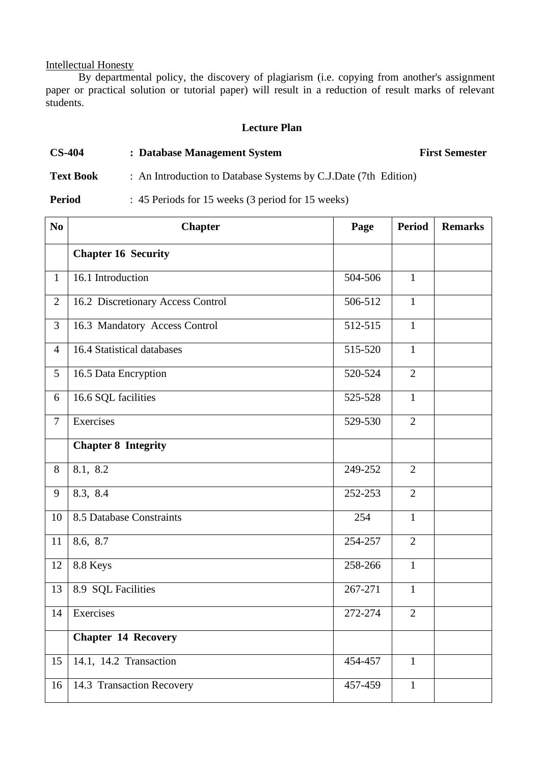# Intellectual Honesty

By departmental policy, the discovery of plagiarism (i.e. copying from another's assignment paper or practical solution or tutorial paper) will result in a reduction of result marks of relevant students.

## **Lecture Plan**

# **CS-404 : Database Management System First Semester**

# **Text Book** : An Introduction to Database Systems by C.J.Date (7th Edition)

**Period** : 45 Periods for 15 weeks (3 period for 15 weeks)

| N <sub>0</sub> | <b>Chapter</b>                    | Page    | <b>Period</b>  | <b>Remarks</b> |
|----------------|-----------------------------------|---------|----------------|----------------|
|                | <b>Chapter 16 Security</b>        |         |                |                |
| $\mathbf{1}$   | 16.1 Introduction                 | 504-506 | $\mathbf{1}$   |                |
| $\overline{2}$ | 16.2 Discretionary Access Control | 506-512 | $\mathbf{1}$   |                |
| 3              | 16.3 Mandatory Access Control     | 512-515 | $\mathbf{1}$   |                |
| $\overline{4}$ | 16.4 Statistical databases        | 515-520 | $\mathbf{1}$   |                |
| 5              | 16.5 Data Encryption              | 520-524 | $\overline{2}$ |                |
| 6              | 16.6 SQL facilities               | 525-528 | $\mathbf{1}$   |                |
| $\overline{7}$ | Exercises                         | 529-530 | $\overline{2}$ |                |
|                | <b>Chapter 8 Integrity</b>        |         |                |                |
| 8              | 8.1, 8.2                          | 249-252 | $\overline{2}$ |                |
| 9              | 8.3, 8.4                          | 252-253 | $\overline{2}$ |                |
| 10             | 8.5 Database Constraints          | 254     | $\mathbf{1}$   |                |
| 11             | 8.6, 8.7                          | 254-257 | $\overline{2}$ |                |
| 12             | 8.8 Keys                          | 258-266 | $\mathbf{1}$   |                |
| 13             | 8.9 SQL Facilities                | 267-271 | $\mathbf{1}$   |                |
| 14             | Exercises                         | 272-274 | $\overline{2}$ |                |
|                | <b>Chapter 14 Recovery</b>        |         |                |                |
| 15             | 14.1, 14.2 Transaction            | 454-457 | $\mathbf{1}$   |                |
| 16             | 14.3 Transaction Recovery         | 457-459 | $\mathbf{1}$   |                |